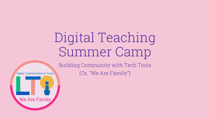# Digital Teaching Summer Camp

Building Community with Tech Tools (Or, "We Are Family")

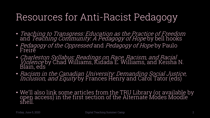## Resources for Anti-Racist Pedagogy

- Teaching to Transgress: Education as the Practice of Freedom and *Teaching Community: A Pedagogy of Hope* by bell hooks
- *Pedagogy of the Oppressed* and *Pedagogy of Hope* by Paulo<br>Freire
- Charleston Syllabus: Readings on Race, Racism, and Racial *Violence* by Chad Williams, Kidada E. Williams, and Keisha N.<br>Blain, eds
- Racism in the Canadian University: Demanding Social Justice, *Inclusion, and Equity* by Frances Henry and Carol Tator (eds)
- We'll also link some articles from the TRU Library (or available by open access) in the first section of the Alternate Modes Moodle shell.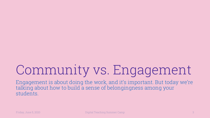# Community vs. Engagement

Engagement is about doing the work, and it's important. But today we're talking about how to build a sense of belongingness among your students.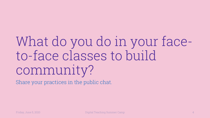# What do you do in your faceto-face classes to build community?

Share your practices in the public chat.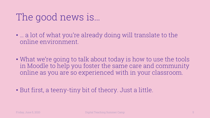### The good news is…

- … a lot of what you're already doing will translate to the online environment.
- What we're going to talk about today is how to use the tools in Moodle to help you foster the same care and community online as you are so experienced with in your classroom.
- But first, a teeny-tiny bit of theory. Just a little.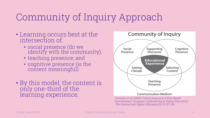## Community of Inquiry Approach

- Learning occurs best at the intersection of:
	- social presence (do we identify with the community);
	- teaching presence; and
	- cognitive presence (is the content meaningful).
- By this model, the content is only one-third of the learning experience.

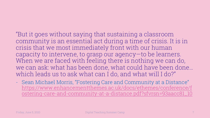#### "But it goes without saying that sustainin community is an essential act during a ti crisis that we most immediately front with capacity to intervene, to grasp our agency When we are faced with feeling there is no we can ask: what has been done, what could have been which leads us to ask what can I do, and w

- Sean Michael Morris, "Fostering Care and Con https://www.enhancementthemes.ac.uk/docs ostering-care-and-community-at-a-distance.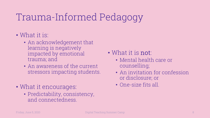## Trauma-Informed Pedagogy

- What it is:
	- An acknowledgement that learning is negatively impacted by emotional trauma; and
	- An awareness of the current stressors impacting students.
- What it encourages:
	- Predictability, consistency, and connectedness.

#### • What it is not:

- Mental health care or counselling;
- An invitation for confession or disclosure; or
- One-size fits all.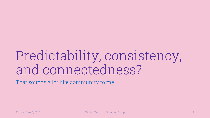# Predictability, consistency, and connectedness?

That sounds a lot like community to me.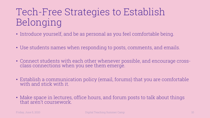## Tech-Free Strategies to Establish Belonging

- Introduce yourself, and be as personal as you feel comfortable being.
- Use students names when responding to posts, comments, and emails.
- Connect students with each other whenever possible, and encourage cross- class connections when you see them emerge.
- Establish <sup>a</sup> communication policy (email, forums) that you are comfortable with and stick with it.
- Make space in lectures, office hours, and forum posts to talk about things that aren't coursework.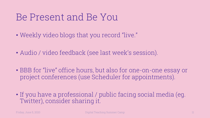### Be Present and Be You

- Weekly video blogs that you record "live."
- Audio / video feedback (see last week's session).
- BBB for "live" office hours, but also for one-on-one essay or project conferences (use Scheduler for appointments).
- If you have a professional / public facing social media (eg. Twitter), consider sharing it.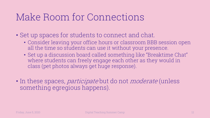### Make Room for Connections

- Set up spaces for students to connect and chat.
	- Consider leaving your office hours or classroom BBB session open all the time so students can use it without your presence.
	- Set up a discussion board called something like "Breaktime Chat" where students can freely engage each other as they would in class (pet photos always get huge response).
- In these spaces, *participate* but do not *moderate* (unless something egregious happens).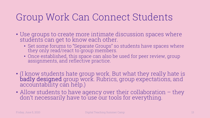### Group Work Can Connect Students

- Use groups to create more intimate discussion spaces where students can get to know each other.
	- Set some forums to "Separate Groups" so students have spaces where they only read/react to group members.
	- Once established, this space can also be used for peer review, group assignments, and reflective practice.
- (I know students hate group work. But what they really hate is badly designed group work. Rubrics, group expectations, and accountability can help.)
- Allow students to have agency over their collaboration they don't necessarily have to use our tools for everything.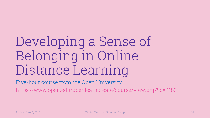# Developing a Sense Belonging in Online Distance Learning

Five-hour course from the Open University. https://www.open.edu/openlearncreate/course/